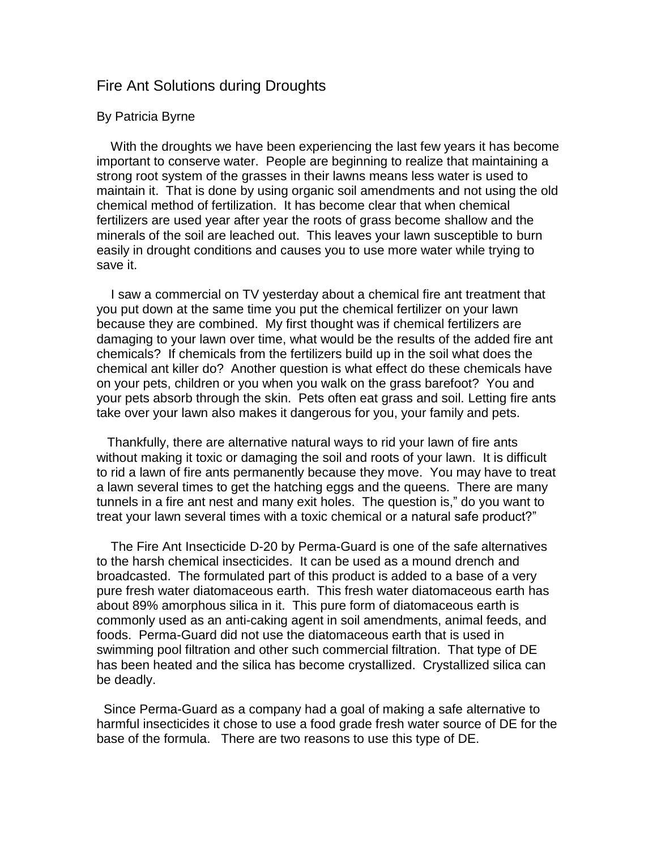## Fire Ant Solutions during Droughts

## By Patricia Byrne

 With the droughts we have been experiencing the last few years it has become important to conserve water. People are beginning to realize that maintaining a strong root system of the grasses in their lawns means less water is used to maintain it. That is done by using organic soil amendments and not using the old chemical method of fertilization. It has become clear that when chemical fertilizers are used year after year the roots of grass become shallow and the minerals of the soil are leached out. This leaves your lawn susceptible to burn easily in drought conditions and causes you to use more water while trying to save it.

I saw a commercial on TV yesterday about a chemical fire ant treatment that you put down at the same time you put the chemical fertilizer on your lawn because they are combined. My first thought was if chemical fertilizers are damaging to your lawn over time, what would be the results of the added fire ant chemicals? If chemicals from the fertilizers build up in the soil what does the chemical ant killer do? Another question is what effect do these chemicals have on your pets, children or you when you walk on the grass barefoot? You and your pets absorb through the skin. Pets often eat grass and soil. Letting fire ants take over your lawn also makes it dangerous for you, your family and pets.

 Thankfully, there are alternative natural ways to rid your lawn of fire ants without making it toxic or damaging the soil and roots of your lawn. It is difficult to rid a lawn of fire ants permanently because they move. You may have to treat a lawn several times to get the hatching eggs and the queens. There are many tunnels in a fire ant nest and many exit holes. The question is," do you want to treat your lawn several times with a toxic chemical or a natural safe product?"

 The Fire Ant Insecticide D-20 by Perma-Guard is one of the safe alternatives to the harsh chemical insecticides. It can be used as a mound drench and broadcasted. The formulated part of this product is added to a base of a very pure fresh water diatomaceous earth. This fresh water diatomaceous earth has about 89% amorphous silica in it. This pure form of diatomaceous earth is commonly used as an anti-caking agent in soil amendments, animal feeds, and foods. Perma-Guard did not use the diatomaceous earth that is used in swimming pool filtration and other such commercial filtration. That type of DE has been heated and the silica has become crystallized. Crystallized silica can be deadly.

 Since Perma-Guard as a company had a goal of making a safe alternative to harmful insecticides it chose to use a food grade fresh water source of DE for the base of the formula. There are two reasons to use this type of DE.